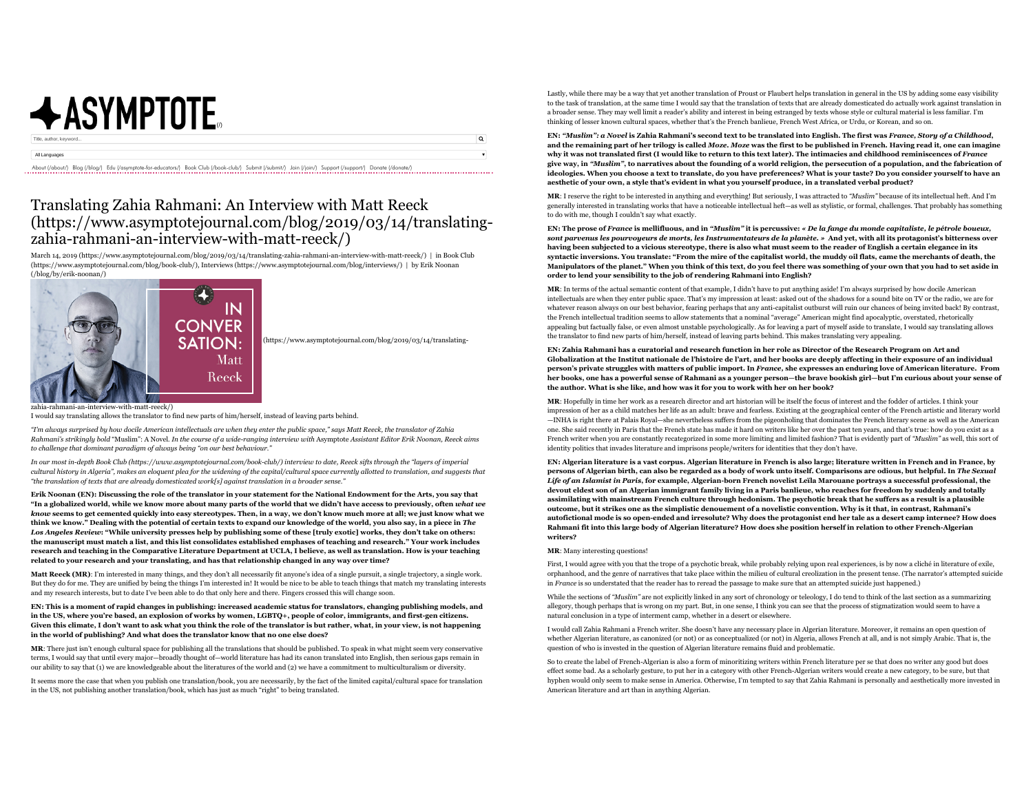# **← ASYMPTOTE** Title, author, keyword...

# All Languages

# About (/about/) Blog (/blog/) Edu (/asymptote-for-educators/) Book Club (/book-club/) Submit (/submit/) Join (/join/) Support (/support/) Donate (/donate/)

# Translating Zahia Rahmani: An Interview with Matt Reeck (https://www.asymptotejournal.com/blog/2019/03/14/translatingzahia-rahmani-an-interview-with-matt-reeck/)

March 14, 2019 (https://www.asymptotejournal.com/blog/2019/03/14/translating-zahia-rahmani-an-interview-with-matt-reeck/) | in Book Club (https://www.asymptotejournal.com/blog/book-club/), Interviews (https://www.asymptotejournal.com/blog/interviews/) | by Erik Noonan (/blog/by/erik-noonan/)



(https://www.asymptotejournal.com/blog/2019/03/14/translating-

 $\overline{a}$ 

#### -an-interview-with-matt-reeck/

I would say translating allows the translator to find new parts of him/herself, instead of leaving parts behind.

*"I'm always surprised by how docile American intellectuals are when they enter the public space," says Matt Reeck, the translator of Zahia Rahmani's strikingly bold* "Muslim": A Novel*. In the course of a wide-ranging interview with* Asymptote *Assistant Editor Erik Noonan, Reeck aims to challenge that dominant paradigm of always being "on our best behaviour."*

*In our most in-depth Book Club (https://www.asymptotejournal.com/book-club/) interview to date, Reeck sifts through the "layers of imperial cultural history in Algeria", makes an eloquent plea for the widening of the capital/cultural space currently allotted to translation, and suggests that "the translation of texts that are already domesticated work[s] against translation in a broader sense."*

**Erik Noonan (EN): Discussing the role of the translator in your statement for the National Endowment for the Arts, you say that "In a globalized world, while we know more about many parts of the world that we didn't have access to previously, often** *what we know* **seems to get cemented quickly into easy stereotypes. Then, in a way, we don't know much more at all; we just know what we think we know." Dealing with the potential of certain texts to expand our knowledge of the world, you also say, in a piece in** *The Los Angeles Review***: "While university presses help by publishing some of these [truly exotic] works, they don't take on others: the manuscript must match a list, and this list consolidates established emphases of teaching and research." Your work includes research and teaching in the Comparative Literature Department at UCLA, I believe, as well as translation. How is your teaching related to your research and your translating, and has that relationship changed in any way over time?**

**Matt Reeck (MR)**: I'm interested in many things, and they don't all necessarily fit anyone's idea of a single pursuit, a single trajectory, a single work. But they do for me. They are unified by being the things I'm interested in! It would be nice to be able to teach things that match my translating interests and my research interests, but to date I've been able to do that only here and there. Fingers crossed this will change soon.

### **EN: This is a moment of rapid changes in publishing: increased academic status for translators, changing publishing models, and in the US, where you're based, an explosion of works by women, LGBTQ+, people of color, immigrants, and first-gen citizens. Given this climate, I don't want to ask what you think the role of the translator is but rather, what, in your view, is not happening in the world of publishing? And what does the translator know that no one else does?**

**MR**: There just isn't enough cultural space for publishing all the translations that should be published. To speak in what might seem very conservative terms, I would say that until every major—broadly thought of—world literature has had its canon translated into English, then serious gaps remain in our ability to say that (1) we are knowledgeable about the literatures of the world and (2) we have a commitment to multiculturalism or diversity.

It seems more the case that when you publish one translation/book, you are necessarily, by the fact of the limited capital/cultural space for translation in the US, not publishing another translation/book, which has just as much "right" to being translated.

Lastly, while there may be a way that yet another translation of Proust or Flaubert helps translation in general in the US by adding some easy visibility to the task of translation, at the same time I would say that the translation of texts that are already domesticated do actually work against translation in a broader sense. They may well limit a reader's ability and interest in being estranged by texts whose style or cultural material is less familiar. I'm thinking of lesser known cultural spaces, whether that's the French banlieue, French West Africa, or Urdu, or Korean, and so on.

**EN:** *"Muslim": a Novel* **is Zahia Rahmani's second text to be translated into English. The first was** *France, Story of a Childhood***, and the remaining part of her trilogy is called** *Moze***.** *Moze* **was the first to be published in French. Having read it, one can imagine why it was not translated first (I would like to return to this text later). The intimacies and childhood reminiscences of** *France* **give way, in** *"Muslim"***, to narratives about the founding of a world religion, the persecution of a population, and the fabrication of ideologies. When you choose a text to translate, do you have preferences? What is your taste? Do you consider yourself to have an aesthetic of your own, a style that's evident in what you yourself produce, in a translated verbal product?** 

**MR**: I reserve the right to be interested in anything and everything! But seriously, I was attracted to *"Muslim"* because of its intellectual heft. And I'm generally interested in translating works that have a noticeable intellectual heft—as well as stylistic, or formal, challenges. That probably has something to do with me, though I couldn't say what exactly.

**EN: The prose of** *France* **is mellifluous, and in** *"Muslim"* **it is percussive:** *« De la fange du monde capitaliste, le pétrole boueux, sont parvenus les pourvoyeurs de morts, les Instrumentateurs de la planète. »* **And yet, with all its protagonist's bitterness over having been subjected to a vicious stereotype, there is also what must seem to the reader of English a certain elegance in its syntactic inversions. You translate: "From the mire of the capitalist world, the muddy oil flats, came the merchants of death, the Manipulators of the planet." When you think of this text, do you feel there was something of your own that you had to set aside in order to lend your sensibility to the job of rendering Rahmani into English?** 

**MR**: In terms of the actual semantic content of that example, I didn't have to put anything aside! I'm always surprised by how docile American intellectuals are when they enter public space. That's my impression at least: asked out of the shadows for a sound bite on TV or the radio, we are for whatever reason always on our best behavior, fearing perhaps that any anti-capitalist outburst will ruin our chances of being invited back! By contrast, the French intellectual tradition seems to allow statements that a nominal "average" American might find apocalyptic, overstated, rhetorically appealing but factually false, or even almost unstable psychologically. As for leaving a part of myself aside to translate, I would say translating allows the translator to find new parts of him/herself, instead of leaving parts behind. This makes translating very appealing.

## **EN: Zahia Rahmani has a curatorial and research function in her role as Director of the Research Program on Art and Globalization at the Institut nationale de l'histoire de l'art, and her books are deeply affecting in their exposure of an individual person's private struggles with matters of public import. In** *France,* **she expresses an enduring love of American literature. From her books, one has a powerful sense of Rahmani as a younger person—the brave bookish girl—but I'm curious about your sense of the author. What is she like, and how was it for you to work with her on her book?**

**MR**: Hopefully in time her work as a research director and art historian will be itself the focus of interest and the fodder of articles. I think your impression of her as a child matches her life as an adult: brave and fearless. Existing at the geographical center of the French artistic and literary world —INHA is right there at Palais Royal—she nevertheless suffers from the pigeonholing that dominates the French literary scene as well as the American one. She said recently in Paris that the French state has made it hard on writers like her over the past ten years, and that's true: how do you exist as a French writer when you are constantly recategorized in some more limiting and limited fashion? That is evidently part of *"Muslim"* as well, this sort of identity politics that invades literature and imprisons people/writers for identities that they don't have.

**EN: Algerian literature is a vast corpus. Algerian literature in French is also large; literature written in French and in France, by persons of Algerian birth, can also be regarded as a body of work unto itself. Comparisons are odious, but helpful. In** *The Sexual Life of an Islamist in Paris***, for example, Algerian-born French novelist Leïla Marouane portrays a successful professional, the devout eldest son of an Algerian immigrant family living in a Paris banlieue, who reaches for freedom by suddenly and totally assimilating with mainstream French culture through hedonism. The psychotic break that he suffers as a result is a plausible outcome, but it strikes one as the simplistic denouement of a novelistic convention. Why is it that, in contrast, Rahmani's autofictional mode is so open-ended and irresolute? Why does the protagonist end her tale as a desert camp internee? How does Rahmani fit into this large body of Algerian literature? How does she position herself in relation to other French-Algerian writers?**

## **MR**: Many interesting questions!

First, I would agree with you that the trope of a psychotic break, while probably relying upon real experiences, is by now a cliché in literature of exile, orphanhood, and the genre of narratives that take place within the milieu of cultural creolization in the present tense. (The narrator's attempted suicide in *France* is so understated that the reader has to reread the passage to make sure that an attempted suicide just happened.)

While the sections of "Muslim" are not explicitly linked in any sort of chronology or teleology, I do tend to think of the last section as a summarizing allegory, though perhaps that is wrong on my part. But, in one sense, I think you can see that the process of stigmatization would seem to have a natural conclusion in a type of interment camp, whether in a desert or elsewhere.

I would call Zahia Rahmani a French writer. She doesn't have any necessary place in Algerian literature. Moreover, it remains an open question of whether Algerian literature, as canonized (or not) or as conceptualized (or not) in Algeria, allows French at all, and is not simply Arabic. That is, the question of who is invested in the question of Algerian literature remains fluid and problematic.

So to create the label of French-Algerian is also a form of minoritizing writers within French literature per se that does no writer any good but does effect some bad. As a scholarly gesture, to put her in a category with other French-Algerian writers would create a new category, to be sure, but that hyphen would only seem to make sense in America. Otherwise, I'm tempted to say that Zahia Rahmani is personally and aesthetically more invested in American literature and art than in anything Algerian.